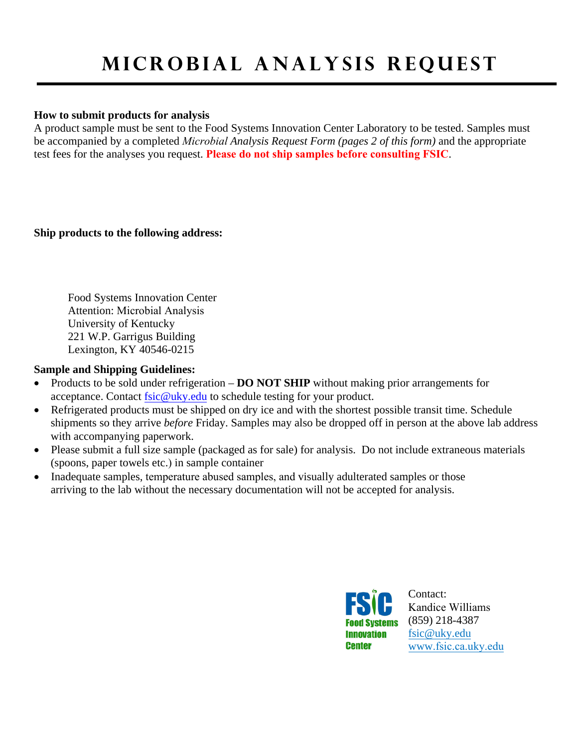## **mICROBIAL A NALYSIS Re quest**

## **How to submit products for analysis**

A product sample must be sent to the Food Systems Innovation Center Laboratory to be tested. Samples must be accompanied by a completed *Microbial Analysis Request Form (pages 2 of this form)* and the appropriate test fees for the analyses you request. **Please do not ship samples before consulting FSIC**.

**Ship products to the following address:** 

Food Systems Innovation Center Attention: Microbial Analysis University of Kentucky 221 W.P. Garrigus Building Lexington, KY 40546-0215

## **Sample and Shipping Guidelines:**

- Products to be sold under refrigeration **DO NOT SHIP** without making prior arrangements for acceptance. Contact [fsic@uky.edu](mailto:fsic@uky.edu) to schedule testing for your product.
- Refrigerated products must be shipped on dry ice and with the shortest possible transit time. Schedule shipments so they arrive *before* Friday. Samples may also be dropped off in person at the above lab address with accompanying paperwork.
- Please submit a full size sample (packaged as for sale) for analysis. Do not include extraneous materials (spoons, paper towels etc.) in sample container
- Inadequate samples, temperature abused samples, and visually adulterated samples or those arriving to the lab without the necessary documentation will not be accepted for analysis.



Contact: Kandice Williams (859) 218-4387 [fsic@uky.edu](mailto:fsic@uky.edu) www[.fsic.ca.uky.ed](http://www.uky.edu/fsic)u